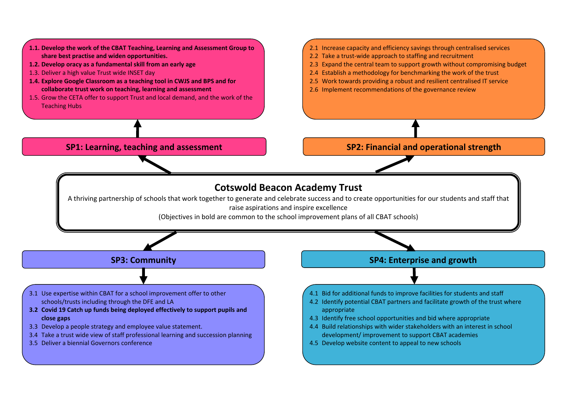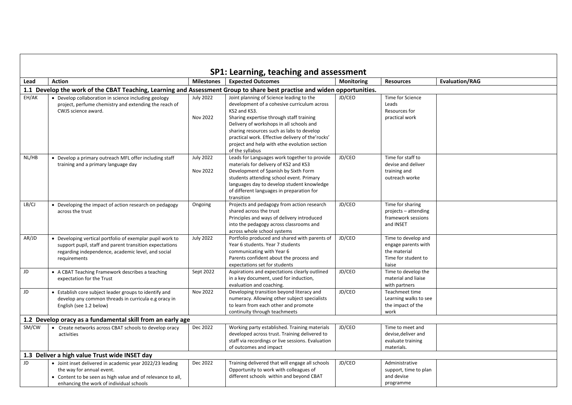|       |                                                                                                                                                                                                  |                              | SP1: Learning, teaching and assessment                                                                                                                                                                                                                                                                                                                              |                   |                                                                                             |                       |
|-------|--------------------------------------------------------------------------------------------------------------------------------------------------------------------------------------------------|------------------------------|---------------------------------------------------------------------------------------------------------------------------------------------------------------------------------------------------------------------------------------------------------------------------------------------------------------------------------------------------------------------|-------------------|---------------------------------------------------------------------------------------------|-----------------------|
| Lead  | <b>Action</b>                                                                                                                                                                                    | <b>Milestones</b>            | <b>Expected Outcomes</b>                                                                                                                                                                                                                                                                                                                                            | <b>Monitoring</b> | <b>Resources</b>                                                                            | <b>Evaluation/RAG</b> |
|       | 1.1 Develop the work of the CBAT Teaching, Learning and Assessment Group to share best practise and widen opportunities.                                                                         |                              |                                                                                                                                                                                                                                                                                                                                                                     |                   |                                                                                             |                       |
| EH/AK | • Develop collaboration in science including geology<br>project, perfume chemistry and extending the reach of<br>CWJS science award.                                                             | <b>July 2022</b><br>Nov 2022 | Joint planning of Science leading to the<br>development of a cohesive curriculum across<br>KS2 and KS3.<br>Sharing expertise through staff training<br>Delivery of workshops in all schools and<br>sharing resources such as labs to develop<br>practical work. Effective delivery of the'rocks'<br>project and help with ethe evolution section<br>of the syllabus | JD/CEO            | Time for Science<br>Leads<br>Resources for<br>practical work                                |                       |
| NL/HB | • Develop a primary outreach MFL offer including staff<br>training and a primary language day                                                                                                    | <b>July 2022</b><br>Nov 2022 | Leads for Languages work together to provide<br>materials for delivery of KS2 and KS3<br>Development of Spanish by Sixth Form<br>students attending school event. Primary<br>languages day to develop student knowledge<br>of different languages in preparation for<br>transition                                                                                  | JD/CEO            | Time for staff to<br>devise and deliver<br>training and<br>outreach worke                   |                       |
| LB/CJ | • Developing the impact of action research on pedagogy<br>across the trust                                                                                                                       | Ongoing                      | Projects and pedagogy from action research<br>shared across the trust<br>Principles and ways of delivery introduced<br>into the pedagogy across classrooms and<br>across whole school systems                                                                                                                                                                       | JD/CEO            | Time for sharing<br>projects - attending<br>framework sessions<br>and INSET                 |                       |
| AR/JD | • Developing vertical portfolio of exemplar pupil work to<br>support pupil, staff and parent transition expectations<br>regarding independence, academic level, and social<br>requirements       | <b>July 2022</b>             | Portfolio produced and shared with parents of<br>Year 6 students. Year 7 students<br>communicating with Year 6<br>Parents confident about the process and<br>expectations set for students                                                                                                                                                                          | JD/CEO            | Time to develop and<br>engage parents with<br>the material<br>Time for student to<br>liaise |                       |
| JD    | • A CBAT Teaching Framework describes a teaching<br>expectation for the Trust                                                                                                                    | Sept 2022                    | Aspirations and expectations clearly outlined<br>in a key document, used for induction,<br>evaluation and coaching.                                                                                                                                                                                                                                                 | JD/CEO            | Time to develop the<br>material and liaise<br>with partners                                 |                       |
| JD    | • Establish core subject leader groups to identify and<br>develop any common threads in curricula e.g oracy in<br>English (see 1.2 below)                                                        | Nov 2022                     | Developing transition beyond literacy and<br>numeracy. Allowing other subject specialists<br>to learn from each other and promote<br>continuity through teachmeets                                                                                                                                                                                                  | JD/CEO            | Teachmeet time<br>Learning walks to see<br>the impact of the<br>work                        |                       |
|       | 1.2 Develop oracy as a fundamental skill from an early age                                                                                                                                       |                              |                                                                                                                                                                                                                                                                                                                                                                     |                   |                                                                                             |                       |
| SM/CW | • Create networks across CBAT schools to develop oracy<br>activities                                                                                                                             | Dec 2022                     | Working party established. Training materials<br>developed across trust. Training delivered to<br>staff via recordings or live sessions. Evaluation<br>of outcomes and impact                                                                                                                                                                                       | JD/CEO            | Time to meet and<br>devise, deliver and<br>evaluate training<br>materials.                  |                       |
|       | 1.3 Deliver a high value Trust wide INSET day                                                                                                                                                    |                              |                                                                                                                                                                                                                                                                                                                                                                     |                   |                                                                                             |                       |
| JD    | • Joint inset delivered in academic year 2022/23 leading<br>the way for annual event.<br>• Content to be seen as high value and of relevance to all,<br>enhancing the work of individual schools | Dec 2022                     | Training delivered that will engage all schools<br>Opportunity to work with colleagues of<br>different schools within and beyond CBAT                                                                                                                                                                                                                               | JD/CEO            | Administrative<br>support, time to plan<br>and devise<br>programme                          |                       |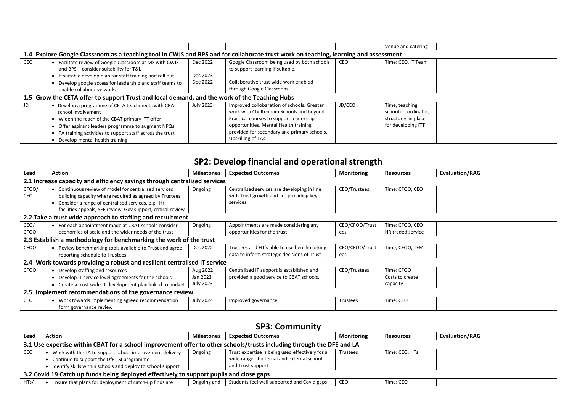|     |                                                                                                                                                                                                                                                                                   |                                  |                                                                                                                                                                                                                                                |        | Venue and catering                                                                  |  |  |  |  |
|-----|-----------------------------------------------------------------------------------------------------------------------------------------------------------------------------------------------------------------------------------------------------------------------------------|----------------------------------|------------------------------------------------------------------------------------------------------------------------------------------------------------------------------------------------------------------------------------------------|--------|-------------------------------------------------------------------------------------|--|--|--|--|
|     | 1.4 Explore Google Classroom as a teaching tool in CWJS and BPS and for collaborate trust work on teaching, learning and assessment                                                                                                                                               |                                  |                                                                                                                                                                                                                                                |        |                                                                                     |  |  |  |  |
| CEO | • Faciltate review of Google Classroom at MS with CWJS<br>and BPS - consider suitability for T&L<br>If suitable develop plan for staff training and roll out<br>Develop google access for leadership and staff teams to<br>enable collaboratve work.                              | Dec 2022<br>Dec 2023<br>Dec 2022 | Google Classroom being used by both schools<br>to support learning if suitable.<br>Collaborative trust wide work enabled<br>through Google Classroom                                                                                           | CEO    | Time: CEO, IT Team                                                                  |  |  |  |  |
|     | 1.5 Grow the CETA offer to support Trust and local demand, and the work of the Teaching Hubs                                                                                                                                                                                      |                                  |                                                                                                                                                                                                                                                |        |                                                                                     |  |  |  |  |
| JD  | • Develop a programme of CETA teachmeets with CBAT<br>school involvement<br>• Widen the reach of the CBAT primary ITT offer<br>Offer aspirant leaders programme to augment NPQs<br>• TA training activities to support staff across the trust<br>• Develop mental health training | July 2023                        | Improved collobaration of schools. Greater<br>work with Cheltenham Schools and beyond.<br>Practical courses to support leadership<br>opportunities. Mental Health training<br>provided for secondary and primary schools.<br>Upskilling of TAs | JD/CEO | Time, teaching<br>school co-ordinator,<br>structures in place<br>for developing ITT |  |  |  |  |

| SP2: Develop financial and operational strength                          |                                                                           |                   |                                             |                   |                   |                       |  |  |  |
|--------------------------------------------------------------------------|---------------------------------------------------------------------------|-------------------|---------------------------------------------|-------------------|-------------------|-----------------------|--|--|--|
| Lead                                                                     | <b>Action</b>                                                             | <b>Milestones</b> | <b>Expected Outcomes</b>                    | <b>Monitoring</b> | <b>Resources</b>  | <b>Evaluation/RAG</b> |  |  |  |
|                                                                          | 2.1 Increase capacity and efficiency savings through centralised services |                   |                                             |                   |                   |                       |  |  |  |
| CFOO/                                                                    | • Continuous review of model for centralised services                     | Ongoing           | Centralised services are developing in line | CEO/Trustees      | Time: CFOO, CEO   |                       |  |  |  |
| CEO                                                                      | building capacity where required as agreed by Trustees                    |                   | with Trust growth and are providing key     |                   |                   |                       |  |  |  |
|                                                                          | • Consider a range of centralised services, e.g., Hr,                     |                   | services                                    |                   |                   |                       |  |  |  |
|                                                                          | facilities appeals, SEF review, Gov support, critical review              |                   |                                             |                   |                   |                       |  |  |  |
|                                                                          | 2.2 Take a trust wide approach to staffing and recruitment                |                   |                                             |                   |                   |                       |  |  |  |
| CEO/                                                                     | • For each appointment made at CBAT schools consider                      | Ongoing           | Appointments are made considering any       | CEO/CFOO/Trust    | Time: CFOO, CEO   |                       |  |  |  |
| <b>CFOO</b>                                                              | economies of scale and the wider needs of the trust                       |                   | opportunities for the trust                 | ees               | HR traded service |                       |  |  |  |
|                                                                          | 2.3 Establish a methodology for benchmarking the work of the trust        |                   |                                             |                   |                   |                       |  |  |  |
| <b>CFOO</b>                                                              | Review benchmarking tools available to Trust and agree                    | Dec 2022          | Trustees and HT's able to use benchmarking  | CEO/CFOO/Trust    | Time; CFOO, TFM   |                       |  |  |  |
|                                                                          | reporting schedule to Trustees                                            |                   | data to inform strategic decisions of Trust | ees               |                   |                       |  |  |  |
| 2.4 Work towards providing a robust and resilient centralised IT service |                                                                           |                   |                                             |                   |                   |                       |  |  |  |
| <b>CFOO</b>                                                              | Develop staffing and resources                                            | Aug 2022          | Centralised IT support is established and   | CEO/Trustees      | Time: CFOO        |                       |  |  |  |
|                                                                          | Develop IT service level agreements for the schools                       | Jan 2023          | provided a good service to CBAT schools.    |                   | Costs to create   |                       |  |  |  |
|                                                                          | Create a trust wide IT development plan linked to budget                  | July 2023         |                                             |                   | capacity          |                       |  |  |  |
| 2.5 Implement recommendations of the governance review                   |                                                                           |                   |                                             |                   |                   |                       |  |  |  |
| <b>CEO</b>                                                               | • Work towards implementing agreed recommendation                         | <b>July 2024</b>  | Improved governance                         | Trustees          | Time: CEO         |                       |  |  |  |
|                                                                          | form governance review                                                    |                   |                                             |                   |                   |                       |  |  |  |

| <b>SP3: Community</b>                                                                                                 |                                                               |                   |                                                 |                   |                  |                       |  |
|-----------------------------------------------------------------------------------------------------------------------|---------------------------------------------------------------|-------------------|-------------------------------------------------|-------------------|------------------|-----------------------|--|
| Lead                                                                                                                  | <b>Action</b>                                                 | <b>Milestones</b> | <b>Expected Outcomes</b>                        | <b>Monitoring</b> | <b>Resources</b> | <b>Evaluation/RAG</b> |  |
| 3.1 Use expertise within CBAT for a school improvement offer to other schools/trusts including through the DFE and LA |                                                               |                   |                                                 |                   |                  |                       |  |
| CEO                                                                                                                   | Work with the LA to support school improvement delivery       | Ongoing           | Trust expertise is being used effectively for a | Trustees          | Time: CEO, HTs   |                       |  |
|                                                                                                                       | Continue to support the DfE TSI programme                     |                   | wide range of internal and external school      |                   |                  |                       |  |
|                                                                                                                       | • Identify skills within schools and deploy to school support |                   | and Trust support                               |                   |                  |                       |  |
| 3.2 Covid 19 Catch up funds being deployed effectively to support pupils and close gaps                               |                                                               |                   |                                                 |                   |                  |                       |  |
| HTs/                                                                                                                  | Ensure that plans for deployment of catch-up finds are        | Ongoing and       | Students feel well supported and Covid gaps     | CEO               | Time: CEO        |                       |  |